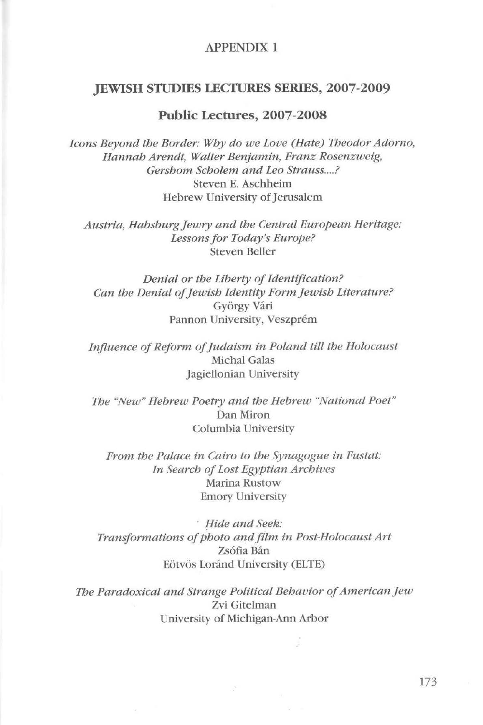### APPENDIX **1**

## **JEWISH STIJDIES LECfURES SERIES, 2007-2009**

## **Public Lectures, 2007-2008**

*Icons Beyond the Border: Why do we Love (Hate) Theodor Adorno, Hannah Arendt, Walter Benjamin, Franz Rosenzweig, Gershom Scholem and Leo Strauss .... ?*  Steven E. Aschheim Hebrew University of Jerusalem

*Austria, Habsburg Jewry and the Central European Heritage: Lessons for Today's Europe?*  Steven Beller

*Denial or the Liberty of Jdentification? Can the Denial of Jewish Jdentity Form Jewish Literature?*  György Vári Pannon University, Veszprém

*Influence of Reform of Judaism in Poland tilt the Holocaust*  Michal Galas Jagiellonian University

*The "New" Hebrew Poetry and the Hebrew "National Poet"*  Dan Miron Columbia University

*From the Palace in Cairo to the Synagogue in Fustat: ln Search of Lost Egyptian Archives*  Marina Rustow Emory University

· *!fide and Seek: Transformations of photo and film in Post-Holocaust Art*  Zsófia Bán Eötvös Loránd University (ELTE)

*The Paradoxical and Strange Political Behavior of American Jew*  Zvi Gitelman University of Miclúgan-Ann Arbor